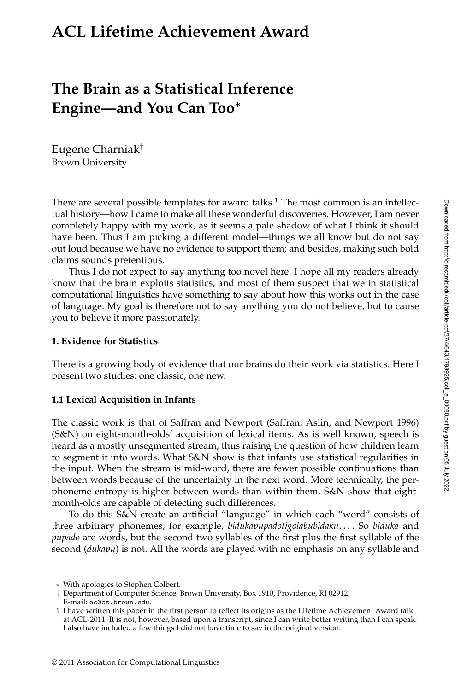## **ACL Lifetime Achievement Award**

# **The Brain as a Statistical Inference Engine—and You Can Too***<sup>∗</sup>*

Eugene Charniak† Brown University

There are several possible templates for award talks.<sup>1</sup> The most common is an intellectual history—how Icame to make all these wonderful discoveries. However, Iam never completely happy with my work, as it seems a pale shadow of what I think it should have been. Thus I am picking a different model—things we all know but do not say out loud because we have no evidence to support them; and besides, making such bold claims sounds pretentious.

Thus I do not expect to say anything too novel here. I hope all my readers already know that the brain exploits statistics, and most of them suspect that we in statistical computational linguistics have something to say about how this works out in the case of language. My goal is therefore not to say anything you do not believe, but to cause you to believe it more passionately.

#### **1. Evidence for Statistics**

There is a growing body of evidence that our brains do their work via statistics. Here I present two studies: one classic, one new.

#### **1.1 Lexical Acquisition in Infants**

The classic work is that of Saffran and Newport (Saffran, Aslin, and Newport 1996) (S&N) on eight-month-olds' acquisition of lexical items. As is well known, speech is heard as a mostly unsegmented stream, thus raising the question of how children learn to segment it into words. What S&N show is that infants use statistical regularities in the input. When the stream is mid-word, there are fewer possible continuations than between words because of the uncertainty in the next word. More technically, the perphoneme entropy is higher between words than within them. S&N show that eightmonth-olds are capable of detecting such differences.

To do this S&N create an artificial "language" in which each "word" consists of three arbitrary phonemes, for example, *bidukapupadotigolabubidaku*... . So *biduka* and *pupado* are words, but the second two syllables of the first plus the first syllable of the second (*dukapu*) is not. All the words are played with no emphasis on any syllable and

<sup>∗</sup> With apologies to Stephen Colbert.

<sup>†</sup> Department of Computer Science, Brown University, Box 1910, Providence, RI02912.

E-mail: ec@cs.brown.edu.

<sup>1</sup> Ihave written this paper in the first person to reflect its origins as the Lifetime Achievement Award talk at ACL-2011. It is not, however, based upon a transcript, since Ican write better writing than Ican speak. I also have included a few things I did not have time to say in the original version.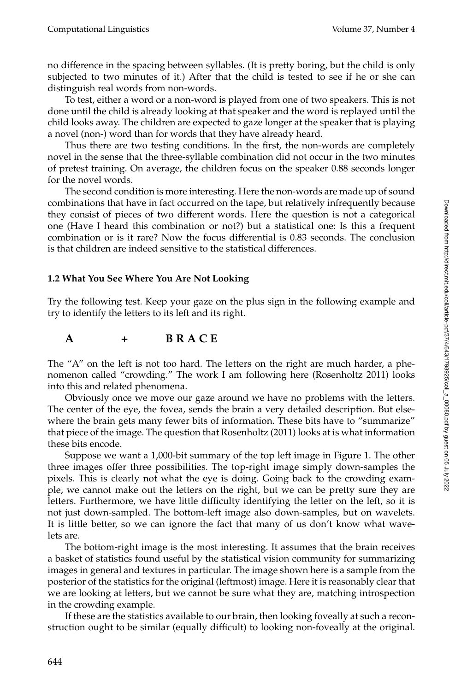no difference in the spacing between syllables. (It is pretty boring, but the child is only subjected to two minutes of it.) After that the child is tested to see if he or she can distinguish real words from non-words.

To test, either a word or a non-word is played from one of two speakers. This is not done until the child is already looking at that speaker and the word is replayed until the child looks away. The children are expected to gaze longer at the speaker that is playing a novel (non-) word than for words that they have already heard.

Thus there are two testing conditions. In the first, the non-words are completely novel in the sense that the three-syllable combination did not occur in the two minutes of pretest training. On average, the children focus on the speaker 0.88 seconds longer for the novel words.

The second condition is more interesting. Here the non-words are made up of sound combinations that have in fact occurred on the tape, but relatively infrequently because they consist of pieces of two different words. Here the question is not a categorical one (Have I heard this combination or not?) but a statistical one: Is this a frequent combination or is it rare? Now the focus differential is 0.83 seconds. The conclusion is that children are indeed sensitive to the statistical differences.

#### **1.2 What You See Where You Are Not Looking**

Try the following test. Keep your gaze on the plus sign in the following example and try to identify the letters to its left and its right.

### **A + BRACE**

The "A" on the left is not too hard. The letters on the right are much harder, a phenomenon called "crowding." The work I am following here (Rosenholtz 2011) looks into this and related phenomena.

Obviously once we move our gaze around we have no problems with the letters. The center of the eye, the fovea, sends the brain a very detailed description. But elsewhere the brain gets many fewer bits of information. These bits have to "summarize" that piece of the image. The question that Rosenholtz (2011) looks at is what information these bits encode.

Suppose we want a 1,000-bit summary of the top left image in Figure 1. The other three images offer three possibilities. The top-right image simply down-samples the pixels. This is clearly not what the eye is doing. Going back to the crowding example, we cannot make out the letters on the right, but we can be pretty sure they are letters. Furthermore, we have little difficulty identifying the letter on the left, so it is not just down-sampled. The bottom-left image also down-samples, but on wavelets. It is little better, so we can ignore the fact that many of us don't know what wavelets are.

The bottom-right image is the most interesting. It assumes that the brain receives a basket of statistics found useful by the statistical vision community for summarizing images in general and textures in particular. The image shown here is a sample from the posterior of the statistics for the original (leftmost) image. Here it is reasonably clear that we are looking at letters, but we cannot be sure what they are, matching introspection in the crowding example.

If these are the statistics available to our brain, then looking foveally at such a reconstruction ought to be similar (equally difficult) to looking non-foveally at the original.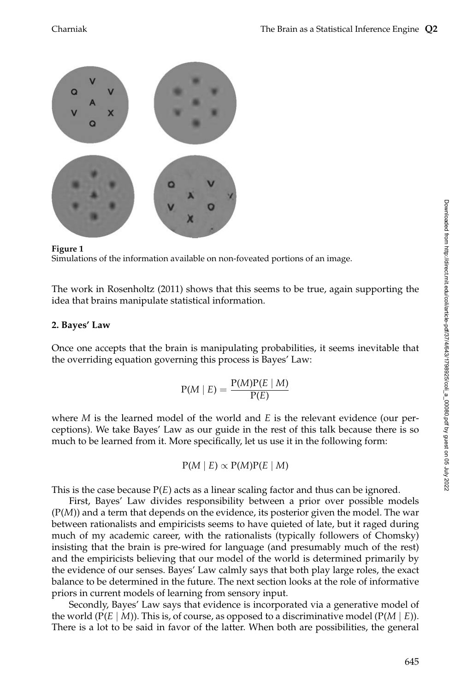



The work in Rosenholtz (2011) shows that this seems to be true, again supporting the idea that brains manipulate statistical information.

#### **2. Bayes' Law**

Once one accepts that the brain is manipulating probabilities, it seems inevitable that the overriding equation governing this process is Bayes' Law:

$$
P(M \mid E) = \frac{P(M)P(E \mid M)}{P(E)}
$$

where *M* is the learned model of the world and *E* is the relevant evidence (our perceptions). We take Bayes' Law as our guide in the rest of this talk because there is so much to be learned from it. More specifically, let us use it in the following form:

 $P(M | E) \propto P(M)P(E | M)$ 

This is the case because P(*E*) acts as a linear scaling factor and thus can be ignored.

First, Bayes' Law divides responsibility between a prior over possible models (P(*M*)) and a term that depends on the evidence, its posterior given the model. The war between rationalists and empiricists seems to have quieted of late, but it raged during much of my academic career, with the rationalists (typically followers of Chomsky) insisting that the brain is pre-wired for language (and presumably much of the rest) and the empiricists believing that our model of the world is determined primarily by the evidence of our senses. Bayes' Law calmly says that both play large roles, the exact balance to be determined in the future. The next section looks at the role of informative priors in current models of learning from sensory input.

Secondly, Bayes' Law says that evidence is incorporated via a generative model of the world  $(P(E \mid M))$ . This is, of course, as opposed to a discriminative model  $(P(M \mid E))$ . There is a lot to be said in favor of the latter. When both are possibilities, the general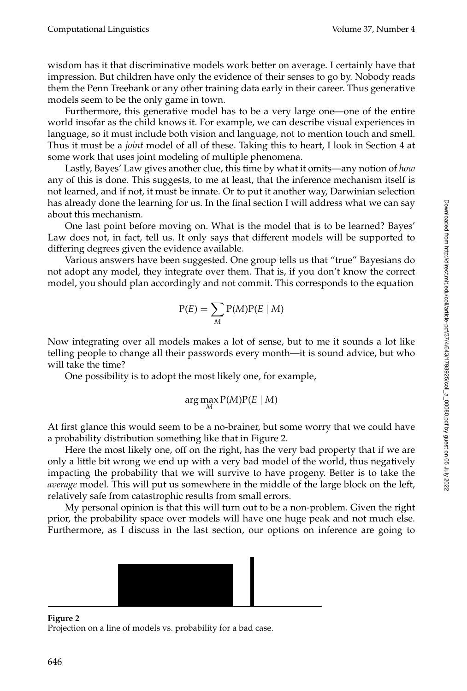wisdom has it that discriminative models work better on average. I certainly have that impression. But children have only the evidence of their senses to go by. Nobody reads them the Penn Treebank or any other training data early in their career. Thus generative models seem to be the only game in town.

Furthermore, this generative model has to be a very large one—one of the entire world insofar as the child knows it. For example, we can describe visual experiences in language, so it must include both vision and language, not to mention touch and smell. Thus it must be a *joint* model of all of these. Taking this to heart, Ilook in Section 4 at some work that uses joint modeling of multiple phenomena.

Lastly, Bayes' Law gives another clue, this time by what it omits—any notion of *how* any of this is done. This suggests, to me at least, that the inference mechanism itself is not learned, and if not, it must be innate. Or to put it another way, Darwinian selection has already done the learning for us. In the final section I will address what we can say about this mechanism.

One last point before moving on. What is the model that is to be learned? Bayes' Law does not, in fact, tell us. It only says that different models will be supported to differing degrees given the evidence available.

Various answers have been suggested. One group tells us that "true" Bayesians do not adopt any model, they integrate over them. That is, if you don't know the correct model, you should plan accordingly and not commit. This corresponds to the equation

$$
P(E) = \sum_{M} P(M)P(E \mid M)
$$

Now integrating over all models makes a lot of sense, but to me it sounds a lot like telling people to change all their passwords every month—it is sound advice, but who will take the time?

One possibility is to adopt the most likely one, for example,

$$
\arg\max_{M} P(M) P(E \mid M)
$$

At first glance this would seem to be a no-brainer, but some worry that we could have a probability distribution something like that in Figure 2.

Here the most likely one, off on the right, has the very bad property that if we are only a little bit wrong we end up with a very bad model of the world, thus negatively impacting the probability that we will survive to have progeny. Better is to take the *average* model. This will put us somewhere in the middle of the large block on the left, relatively safe from catastrophic results from small errors.

My personal opinion is that this will turn out to be a non-problem. Given the right prior, the probability space over models will have one huge peak and not much else. Furthermore, as I discuss in the last section, our options on inference are going to



#### **Figure 2** Projection on a line of models vs. probability for a bad case.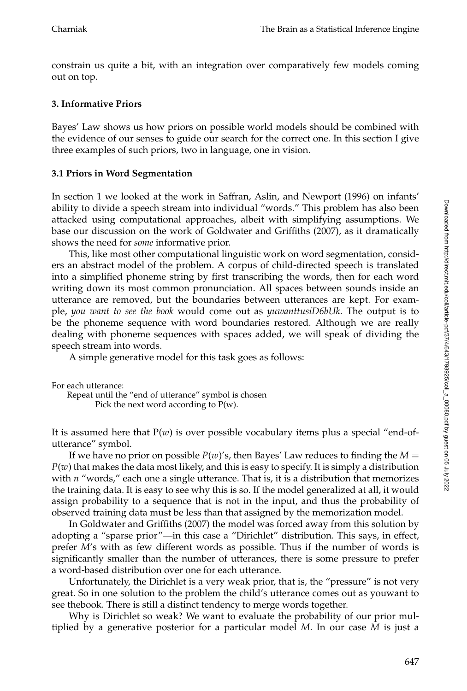constrain us quite a bit, with an integration over comparatively few models coming out on top.

#### **3. Informative Priors**

Bayes' Law shows us how priors on possible world models should be combined with the evidence of our senses to guide our search for the correct one. In this section I give three examples of such priors, two in language, one in vision.

### **3.1 Priors in Word Segmentation**

In section 1 we looked at the work in Saffran, Aslin, and Newport (1996) on infants' ability to divide a speech stream into individual "words." This problem has also been attacked using computational approaches, albeit with simplifying assumptions. We base our discussion on the work of Goldwater and Griffiths (2007), as it dramatically shows the need for *some* informative prior.

This, like most other computational linguistic work on word segmentation, considers an abstract model of the problem. A corpus of child-directed speech is translated into a simplified phoneme string by first transcribing the words, then for each word writing down its most common pronunciation. All spaces between sounds inside an utterance are removed, but the boundaries between utterances are kept. For example, *you want to see the book* would come out as *yuwanttusiD6bUk*. The output is to be the phoneme sequence with word boundaries restored. Although we are really dealing with phoneme sequences with spaces added, we will speak of dividing the speech stream into words.

A simple generative model for this task goes as follows:

For each utterance:

Repeat until the "end of utterance" symbol is chosen Pick the next word according to  $P(w)$ .

It is assumed here that  $P(w)$  is over possible vocabulary items plus a special "end-ofutterance" symbol.

If we have no prior on possible  $P(w)$ 's, then Bayes' Law reduces to finding the  $M =$ *P*(*w*) that makes the data most likely, and this is easy to specify. It is simply a distribution with *n* "words," each one a single utterance. That is, it is a distribution that memorizes the training data. It is easy to see why this is so. If the model generalized at all, it would assign probability to a sequence that is not in the input, and thus the probability of observed training data must be less than that assigned by the memorization model.

In Goldwater and Griffiths (2007) the model was forced away from this solution by adopting a "sparse prior"—in this case a "Dirichlet" distribution. This says, in effect, prefer *M*'s with as few different words as possible. Thus if the number of words is significantly smaller than the number of utterances, there is some pressure to prefer a word-based distribution over one for each utterance.

Unfortunately, the Dirichlet is a very weak prior, that is, the "pressure" is not very great. So in one solution to the problem the child's utterance comes out as youwant to see thebook. There is still a distinct tendency to merge words together.

Why is Dirichlet so weak? We want to evaluate the probability of our prior multiplied by a generative posterior for a particular model *M*. In our case *M* is just a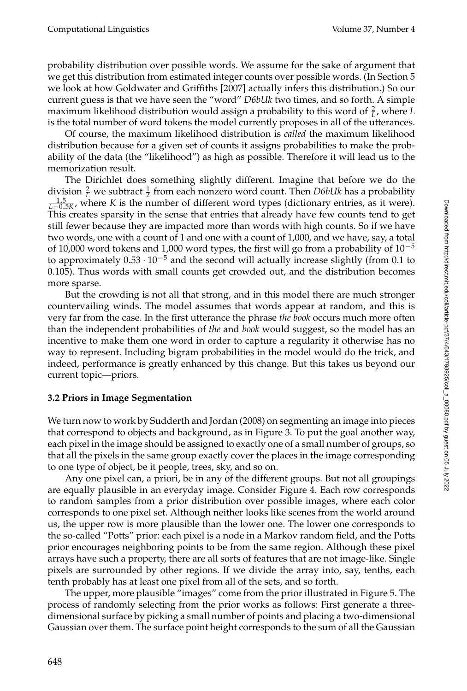probability distribution over possible words. We assume for the sake of argument that we get this distribution from estimated integer counts over possible words. (In Section 5 we look at how Goldwater and Griffiths [2007] actually infers this distribution.) So our current guess is that we have seen the "word" *D6bUk* two times, and so forth. A simple maximum likelihood distribution would assign a probability to this word of  $\frac{2}{L}$ , where *L* is the total number of word tokens the model currently proposes in all of the utterances.

Of course, the maximum likelihood distribution is *called* the maximum likelihood distribution because for a given set of counts it assigns probabilities to make the probability of the data (the "likelihood") as high as possible. Therefore it will lead us to the memorization result.

The Dirichlet does something slightly different. Imagine that before we do the division  $\frac{2}{L}$  we subtract  $\frac{1}{2}$  from each nonzero word count. Then *D6bUk* has a probability 1.5 *<sup>L</sup>*−0.5*<sup>K</sup>* , where *<sup>K</sup>* is the number of different word types (dictionary entries, as it were). This creates sparsity in the sense that entries that already have few counts tend to get still fewer because they are impacted more than words with high counts. So if we have two words, one with a count of 1 and one with a count of 1,000, and we have, say, a total of 10,000 word tokens and 1,000 word types, the first will go from a probability of  $10^{-5}$ to approximately  $0.53 \cdot 10^{-5}$  and the second will actually increase slightly (from 0.1 to 0.105). Thus words with small counts get crowded out, and the distribution becomes more sparse.

But the crowding is not all that strong, and in this model there are much stronger countervailing winds. The model assumes that words appear at random, and this is very far from the case. In the first utterance the phrase *the book* occurs much more often than the independent probabilities of *the* and *book* would suggest, so the model has an incentive to make them one word in order to capture a regularity it otherwise has no way to represent. Including bigram probabilities in the model would do the trick, and indeed, performance is greatly enhanced by this change. But this takes us beyond our current topic—priors.

#### **3.2 Priors in Image Segmentation**

We turn now to work by Sudderth and Jordan (2008) on segmenting an image into pieces that correspond to objects and background, as in Figure 3. To put the goal another way, each pixel in the image should be assigned to exactly one of a small number of groups, so that all the pixels in the same group exactly cover the places in the image corresponding to one type of object, be it people, trees, sky, and so on.

Any one pixel can, a priori, be in any of the different groups. But not all groupings are equally plausible in an everyday image. Consider Figure 4. Each row corresponds to random samples from a prior distribution over possible images, where each color corresponds to one pixel set. Although neither looks like scenes from the world around us, the upper row is more plausible than the lower one. The lower one corresponds to the so-called "Potts" prior: each pixel is a node in a Markov random field, and the Potts prior encourages neighboring points to be from the same region. Although these pixel arrays have such a property, there are all sorts of features that are not image-like. Single pixels are surrounded by other regions. If we divide the array into, say, tenths, each tenth probably has at least one pixel from all of the sets, and so forth.

The upper, more plausible "images" come from the prior illustrated in Figure 5. The process of randomly selecting from the prior works as follows: First generate a threedimensional surface by picking a small number of points and placing a two-dimensional Gaussian over them. The surface point height corresponds to the sum of all the Gaussian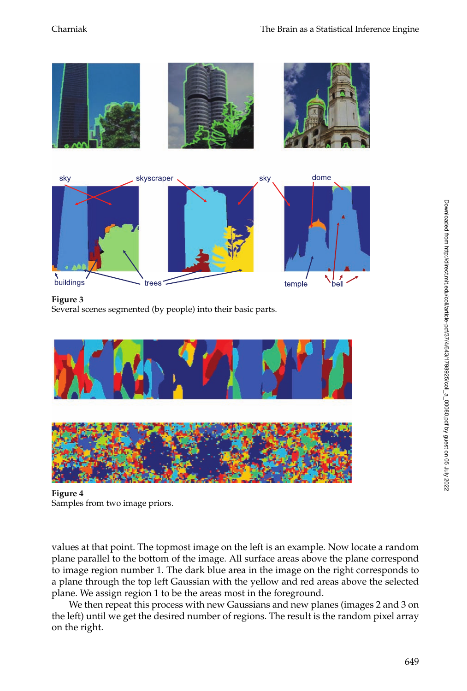



#### **Figure 3**

Several scenes segmented (by people) into their basic parts.



**Figure 4** Samples from two image priors.

values at that point. The topmost image on the left is an example. Now locate a random plane parallel to the bottom of the image. All surface areas above the plane correspond to image region number 1. The dark blue area in the image on the right corresponds to a plane through the top left Gaussian with the yellow and red areas above the selected plane. We assign region 1 to be the areas most in the foreground.

We then repeat this process with new Gaussians and new planes (images 2 and 3 on the left) until we get the desired number of regions. The result is the random pixel array on the right.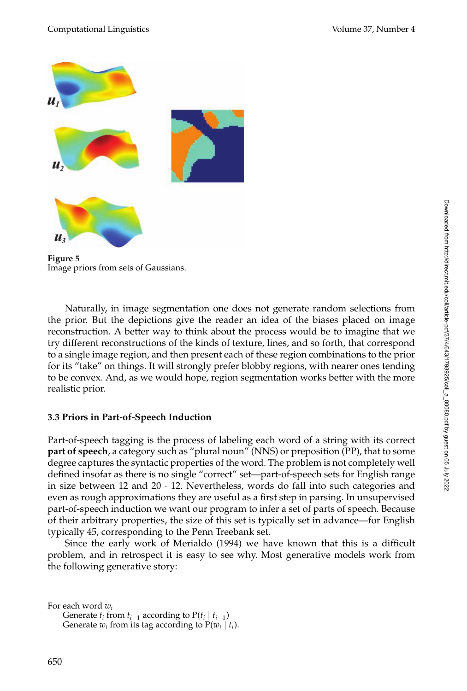

**Figure 5** Image priors from sets of Gaussians.

Naturally, in image segmentation one does not generate random selections from the prior. But the depictions give the reader an idea of the biases placed on image reconstruction. A better way to think about the process would be to imagine that we try different reconstructions of the kinds of texture, lines, and so forth, that correspond to a single image region, and then present each of these region combinations to the prior for its "take" on things. It will strongly prefer blobby regions, with nearer ones tending to be convex. And, as we would hope, region segmentation works better with the more realistic prior.

#### **3.3 Priors in Part-of-Speech Induction**

Part-of-speech tagging is the process of labeling each word of a string with its correct **part of speech**, a category such as "plural noun" (NNS) or preposition (PP), that to some degree captures the syntactic properties of the word. The problem is not completely well defined insofar as there is no single "correct" set—part-of-speech sets for English range in size between 12 and  $20 \cdot 12$ . Nevertheless, words do fall into such categories and even as rough approximations they are useful as a first step in parsing. In unsupervised part-of-speech induction we want our program to infer a set of parts of speech. Because of their arbitrary properties, the size of this set is typically set in advance—for English typically 45, corresponding to the Penn Treebank set.

Since the early work of Merialdo (1994) we have known that this is a difficult problem, and in retrospect it is easy to see why. Most generative models work from the following generative story:

For each word *wi* Generate  $t_i$  from  $t_{i-1}$  according to  $P(t_i | t_{i-1})$ Generate  $w_i$  from its tag according to  $P(w_i | t_i)$ .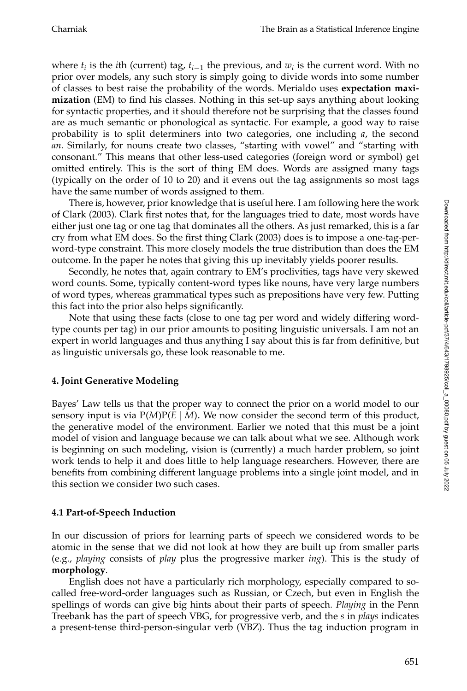where  $t_i$  is the *i*th (current) tag,  $t_{i-1}$  the previous, and  $w_i$  is the current word. With no prior over models, any such story is simply going to divide words into some number of classes to best raise the probability of the words. Merialdo uses **expectation maximization** (EM) to find his classes. Nothing in this set-up says anything about looking for syntactic properties, and it should therefore not be surprising that the classes found are as much semantic or phonological as syntactic. For example, a good way to raise probability is to split determiners into two categories, one including *a*, the second *an*. Similarly, for nouns create two classes, "starting with vowel" and "starting with consonant." This means that other less-used categories (foreign word or symbol) get omitted entirely. This is the sort of thing EM does. Words are assigned many tags (typically on the order of 10 to 20) and it evens out the tag assignments so most tags have the same number of words assigned to them.

There is, however, prior knowledge that is useful here. Iam following here the work of Clark (2003). Clark first notes that, for the languages tried to date, most words have either just one tag or one tag that dominates all the others. As just remarked, this is a far cry from what EM does. So the first thing Clark (2003) does is to impose a one-tag-perword-type constraint. This more closely models the true distribution than does the EM outcome. In the paper he notes that giving this up inevitably yields poorer results.

Secondly, he notes that, again contrary to EM's proclivities, tags have very skewed word counts. Some, typically content-word types like nouns, have very large numbers of word types, whereas grammatical types such as prepositions have very few. Putting this fact into the prior also helps significantly.

Note that using these facts (close to one tag per word and widely differing wordtype counts per tag) in our prior amounts to positing linguistic universals. Iam not an expert in world languages and thus anything I say about this is far from definitive, but as linguistic universals go, these look reasonable to me.

### **4. Joint Generative Modeling**

Bayes' Law tells us that the proper way to connect the prior on a world model to our sensory input is via  $P(M)P(E \mid M)$ . We now consider the second term of this product, the generative model of the environment. Earlier we noted that this must be a joint model of vision and language because we can talk about what we see. Although work is beginning on such modeling, vision is (currently) a much harder problem, so joint work tends to help it and does little to help language researchers. However, there are benefits from combining different language problems into a single joint model, and in this section we consider two such cases.

## **4.1 Part-of-Speech Induction**

In our discussion of priors for learning parts of speech we considered words to be atomic in the sense that we did not look at how they are built up from smaller parts (e.g., *playing* consists of *play* plus the progressive marker *ing*). This is the study of **morphology**.

English does not have a particularly rich morphology, especially compared to socalled free-word-order languages such as Russian, or Czech, but even in English the spellings of words can give big hints about their parts of speech. *Playing* in the Penn Treebank has the part of speech VBG, for progressive verb, and the *s* in *plays* indicates a present-tense third-person-singular verb (VBZ). Thus the tag induction program in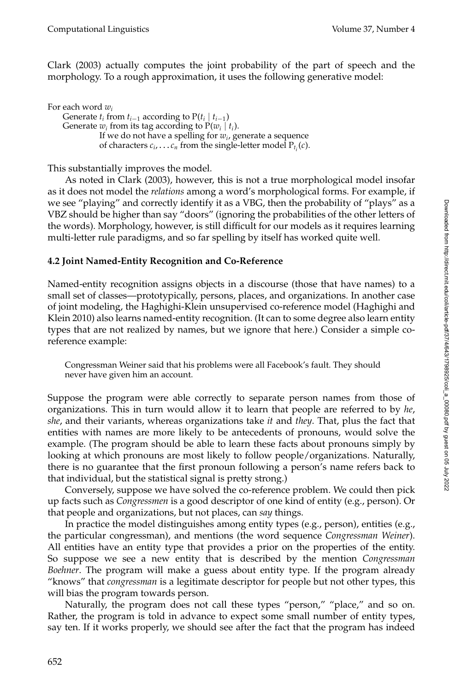Clark (2003) actually computes the joint probability of the part of speech and the morphology. To a rough approximation, it uses the following generative model:

For each word *wi* Generate  $t_i$  from  $t_{i-1}$  according to  $P(t_i | t_{i-1})$ Generate  $w_i$  from its tag according to  $P(w_i | t_i)$ . If we do not have a spelling for *wi*, generate a sequence of characters  $c_i$ , . . .  $c_n$  from the single-letter model  $P_{t_i}(c)$ .

This substantially improves the model.

As noted in Clark (2003), however, this is not a true morphological model insofar as it does not model the *relations* among a word's morphological forms. For example, if we see "playing" and correctly identify it as a VBG, then the probability of "plays" as a VBZ should be higher than say "doors" (ignoring the probabilities of the other letters of the words). Morphology, however, is still difficult for our models as it requires learning multi-letter rule paradigms, and so far spelling by itself has worked quite well.

#### **4.2 Joint Named-Entity Recognition and Co-Reference**

Named-entity recognition assigns objects in a discourse (those that have names) to a small set of classes—prototypically, persons, places, and organizations. In another case of joint modeling, the Haghighi-Klein unsupervised co-reference model (Haghighi and Klein 2010) also learns named-entity recognition. (It can to some degree also learn entity types that are not realized by names, but we ignore that here.) Consider a simple coreference example:

Congressman Weiner said that his problems were all Facebook's fault. They should never have given him an account.

Suppose the program were able correctly to separate person names from those of organizations. This in turn would allow it to learn that people are referred to by *he*, *she*, and their variants, whereas organizations take *it* and *they*. That, plus the fact that entities with names are more likely to be antecedents of pronouns, would solve the example. (The program should be able to learn these facts about pronouns simply by looking at which pronouns are most likely to follow people/organizations. Naturally, there is no guarantee that the first pronoun following a person's name refers back to that individual, but the statistical signal is pretty strong.)

Conversely, suppose we have solved the co-reference problem. We could then pick up facts such as *Congressmen* is a good descriptor of one kind of entity (e.g., person). Or that people and organizations, but not places, can *say* things.

In practice the model distinguishes among entity types (e.g., person), entities (e.g., the particular congressman), and mentions (the word sequence *Congressman Weiner*). All entities have an entity type that provides a prior on the properties of the entity. So suppose we see a new entity that is described by the mention *Congressman Boehner*. The program will make a guess about entity type. If the program already "knows" that *congressman* is a legitimate descriptor for people but not other types, this will bias the program towards person.

Naturally, the program does not call these types "person," "place," and so on. Rather, the program is told in advance to expect some small number of entity types, say ten. If it works properly, we should see after the fact that the program has indeed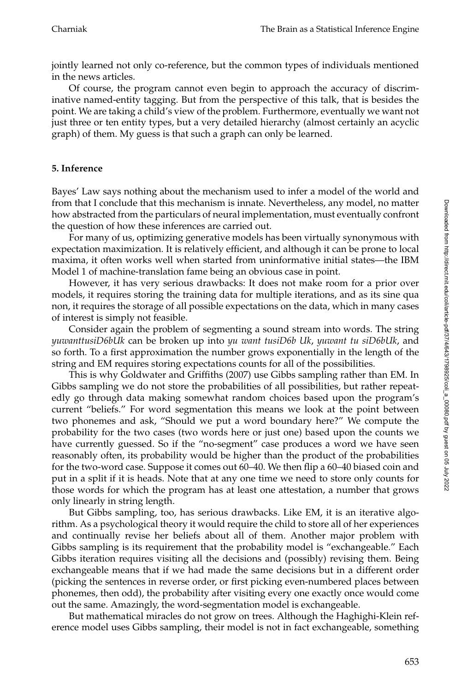jointly learned not only co-reference, but the common types of individuals mentioned in the news articles.

Of course, the program cannot even begin to approach the accuracy of discriminative named-entity tagging. But from the perspective of this talk, that is besides the point. We are taking a child's view of the problem. Furthermore, eventually we want not just three or ten entity types, but a very detailed hierarchy (almost certainly an acyclic graph) of them. My guess is that such a graph can only be learned.

#### **5. Inference**

Bayes' Law says nothing about the mechanism used to infer a model of the world and from that I conclude that this mechanism is innate. Nevertheless, any model, no matter how abstracted from the particulars of neural implementation, must eventually confront the question of how these inferences are carried out.

For many of us, optimizing generative models has been virtually synonymous with expectation maximization. It is relatively efficient, and although it can be prone to local maxima, it often works well when started from uninformative initial states—the IBM Model 1 of machine-translation fame being an obvious case in point.

However, it has very serious drawbacks: It does not make room for a prior over models, it requires storing the training data for multiple iterations, and as its sine qua non, it requires the storage of all possible expectations on the data, which in many cases of interest is simply not feasible.

Consider again the problem of segmenting a sound stream into words. The string *yuwanttusiD6bUk* can be broken up into *yu want tusiD6b Uk*, *yuwant tu siD6bUk*, and so forth. To a first approximation the number grows exponentially in the length of the string and EM requires storing expectations counts for all of the possibilities.

This is why Goldwater and Griffiths (2007) use Gibbs sampling rather than EM. In Gibbs sampling we do not store the probabilities of all possibilities, but rather repeatedly go through data making somewhat random choices based upon the program's current "beliefs." For word segmentation this means we look at the point between two phonemes and ask, "Should we put a word boundary here?" We compute the probability for the two cases (two words here or just one) based upon the counts we have currently guessed. So if the "no-segment" case produces a word we have seen reasonably often, its probability would be higher than the product of the probabilities for the two-word case. Suppose it comes out 60–40. We then flip a 60–40 biased coin and put in a split if it is heads. Note that at any one time we need to store only counts for those words for which the program has at least one attestation, a number that grows only linearly in string length.

But Gibbs sampling, too, has serious drawbacks. Like EM, it is an iterative algorithm. As a psychological theory it would require the child to store all of her experiences and continually revise her beliefs about all of them. Another major problem with Gibbs sampling is its requirement that the probability model is "exchangeable." Each Gibbs iteration requires visiting all the decisions and (possibly) revising them. Being exchangeable means that if we had made the same decisions but in a different order (picking the sentences in reverse order, or first picking even-numbered places between phonemes, then odd), the probability after visiting every one exactly once would come out the same. Amazingly, the word-segmentation model is exchangeable.

But mathematical miracles do not grow on trees. Although the Haghighi-Klein reference model uses Gibbs sampling, their model is not in fact exchangeable, something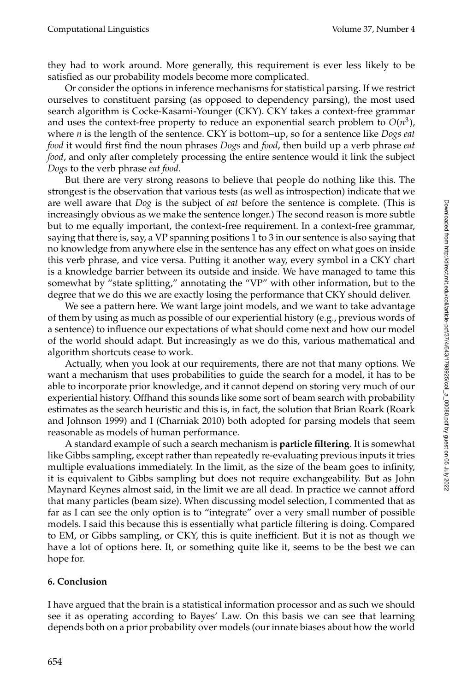they had to work around. More generally, this requirement is ever less likely to be satisfied as our probability models become more complicated.

Or consider the options in inference mechanisms for statistical parsing. If we restrict ourselves to constituent parsing (as opposed to dependency parsing), the most used search algorithm is Cocke-Kasami-Younger (CKY). CKY takes a context-free grammar and uses the context-free property to reduce an exponential search problem to  $O(n^3)$ , where *n* is the length of the sentence. CKY is bottom–up, so for a sentence like *Dogs eat food* it would first find the noun phrases *Dogs* and *food*, then build up a verb phrase *eat food*, and only after completely processing the entire sentence would it link the subject *Dogs* to the verb phrase *eat food*.

But there are very strong reasons to believe that people do nothing like this. The strongest is the observation that various tests (as well as introspection) indicate that we are well aware that *Dog* is the subject of *eat* before the sentence is complete. (This is increasingly obvious as we make the sentence longer.) The second reason is more subtle but to me equally important, the context-free requirement. In a context-free grammar, saying that there is, say, a VP spanning positions 1 to 3 in our sentence is also saying that no knowledge from anywhere else in the sentence has any effect on what goes on inside this verb phrase, and vice versa. Putting it another way, every symbol in a CKY chart is a knowledge barrier between its outside and inside. We have managed to tame this somewhat by "state splitting," annotating the "VP" with other information, but to the degree that we do this we are exactly losing the performance that CKY should deliver.

We see a pattern here. We want large joint models, and we want to take advantage of them by using as much as possible of our experiential history (e.g., previous words of a sentence) to influence our expectations of what should come next and how our model of the world should adapt. But increasingly as we do this, various mathematical and algorithm shortcuts cease to work.

Actually, when you look at our requirements, there are not that many options. We want a mechanism that uses probabilities to guide the search for a model, it has to be able to incorporate prior knowledge, and it cannot depend on storing very much of our experiential history. Offhand this sounds like some sort of beam search with probability estimates as the search heuristic and this is, in fact, the solution that Brian Roark (Roark and Johnson 1999) and I(Charniak 2010) both adopted for parsing models that seem reasonable as models of human performance.

A standard example of such a search mechanism is **particle filtering**. It is somewhat like Gibbs sampling, except rather than repeatedly re-evaluating previous inputs it tries multiple evaluations immediately. In the limit, as the size of the beam goes to infinity, it is equivalent to Gibbs sampling but does not require exchangeability. But as John Maynard Keynes almost said, in the limit we are all dead. In practice we cannot afford that many particles (beam size). When discussing model selection, I commented that as far as I can see the only option is to "integrate" over a very small number of possible models. I said this because this is essentially what particle filtering is doing. Compared to EM, or Gibbs sampling, or CKY, this is quite inefficient. But it is not as though we have a lot of options here. It, or something quite like it, seems to be the best we can hope for.

#### **6. Conclusion**

Ihave argued that the brain is a statistical information processor and as such we should see it as operating according to Bayes' Law. On this basis we can see that learning depends both on a prior probability over models (our innate biases about how the world